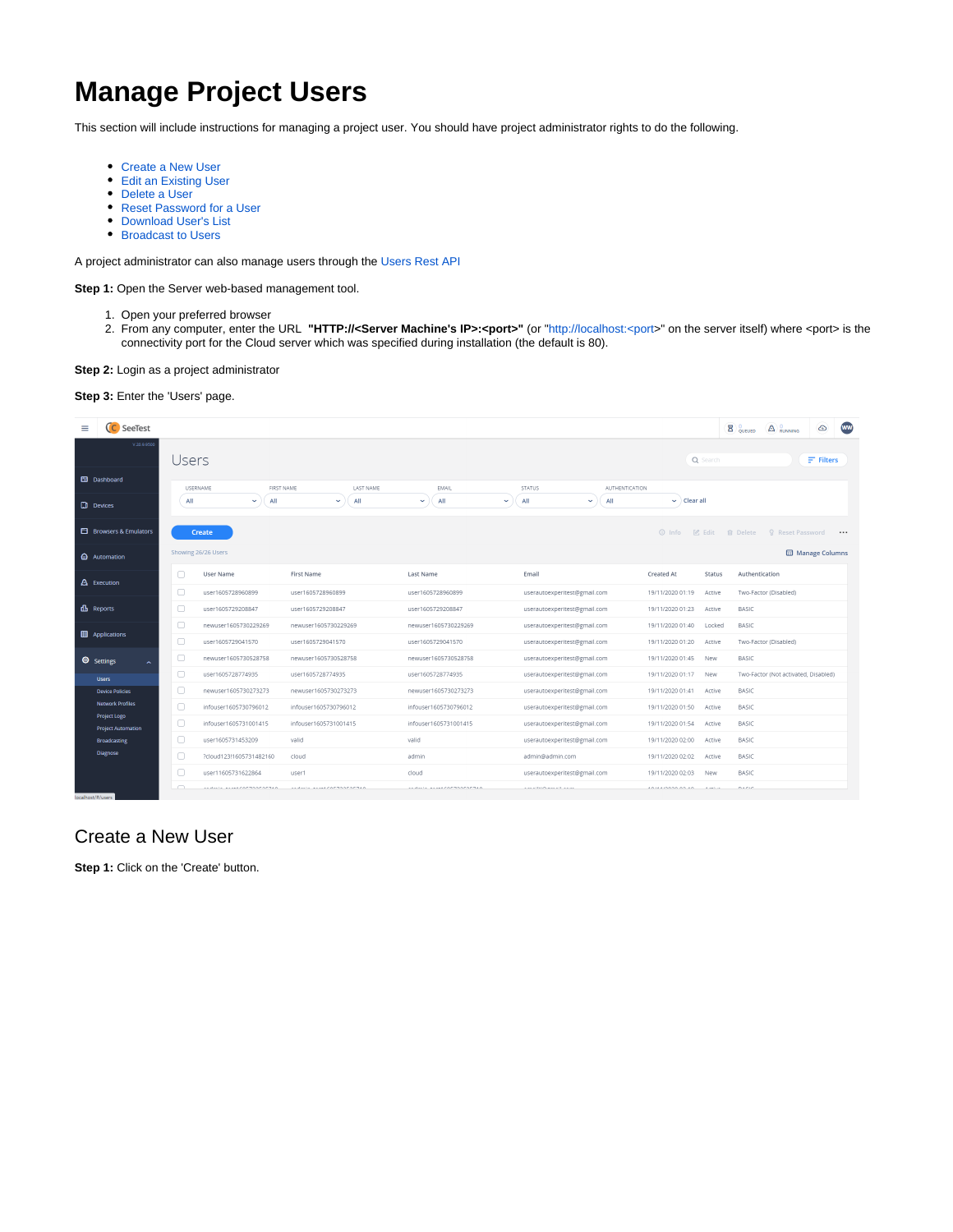# **Manage Project Users**

This section will include instructions for managing a project user. You should have project administrator rights to do the following.

- [Create a New User](#page-0-0)
- [Edit an Existing User](#page-1-0)  $\bullet$
- [Delete a User](#page-1-1)
- [Reset Password for a User](#page-1-2)
- [Download User's List](#page-2-0)
- **[Broadcast to Users](#page-2-1)**

A project administrator can also manage users through the [Users Rest API](https://docs.experitest.com/display/PM/Users+Rest+API)

**Step 1:** Open the Server web-based management tool.

- 1. Open your preferred browser
- 2. From any computer, enter the URL **"HTTP://<Server Machine's IP>:<port>"** (or "http://localhost:<port>" on the server itself) where <port> is the connectivity port for the Cloud server which was specified during installation (the default is 80).

**Step 2:** Login as a project administrator

**Step 3:** Enter the 'Users' page.



# <span id="page-0-0"></span>Create a New User

**Step 1:** Click on the 'Create' button.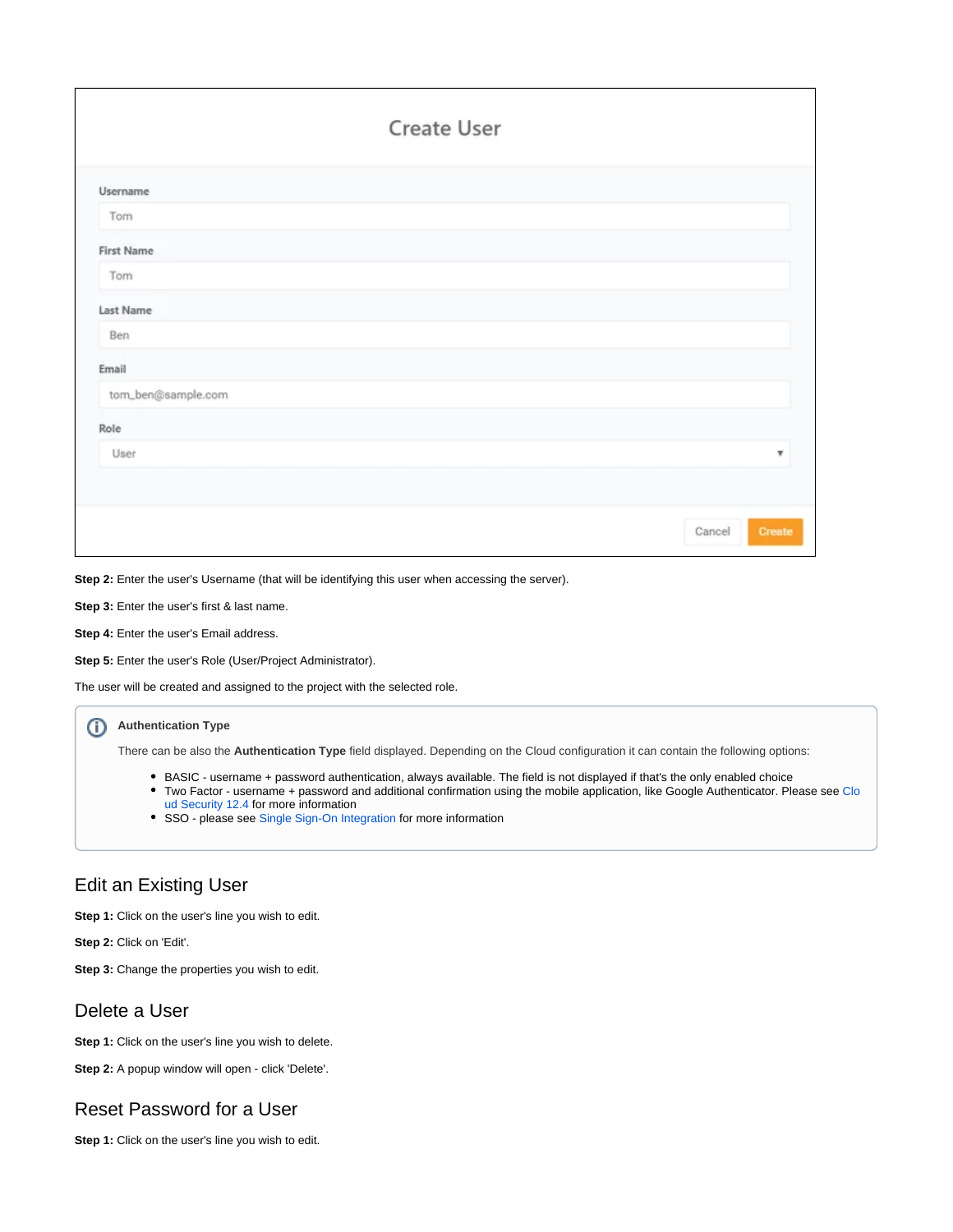|                    | <b>Create User</b> |        |                           |
|--------------------|--------------------|--------|---------------------------|
| Username           |                    |        |                           |
| Tom                |                    |        |                           |
| <b>First Name</b>  |                    |        |                           |
| Tom                |                    |        |                           |
| Last Name          |                    |        |                           |
| Ben                |                    |        |                           |
| Email              |                    |        |                           |
| tom_ben@sample.com |                    |        |                           |
| Role               |                    |        |                           |
| User               |                    |        | $\boldsymbol{\mathrm{v}}$ |
|                    |                    |        |                           |
|                    |                    | Cancel | Create                    |

**Step 2:** Enter the user's Username (that will be identifying this user when accessing the server).

**Step 3:** Enter the user's first & last name.

**Step 4:** Enter the user's Email address.

**Step 5:** Enter the user's Role (User/Project Administrator).

The user will be created and assigned to the project with the selected role.

### **Authentication Type**

There can be also the **Authentication Type** field displayed. Depending on the Cloud configuration it can contain the following options:

- BASIC username + password authentication, always available. The field is not displayed if that's the only enabled choice
- Two Factor username + password and additional confirmation using the mobile application, like Google Authenticator. Please see Clo ud Security 12.4 for more information
- SSO please see [Single Sign-On Integration](https://docs.experitest.com/pages/viewpage.action?pageId=46301369) for more information

# <span id="page-1-0"></span>Edit an Existing User

**Step 1:** Click on the user's line you wish to edit.

**Step 2:** Click on 'Edit'.

**Step 3:** Change the properties you wish to edit.

### <span id="page-1-1"></span>Delete a User

**Step 1:** Click on the user's line you wish to delete.

**Step 2:** A popup window will open - click 'Delete'.

# <span id="page-1-2"></span>Reset Password for a User

**Step 1:** Click on the user's line you wish to edit.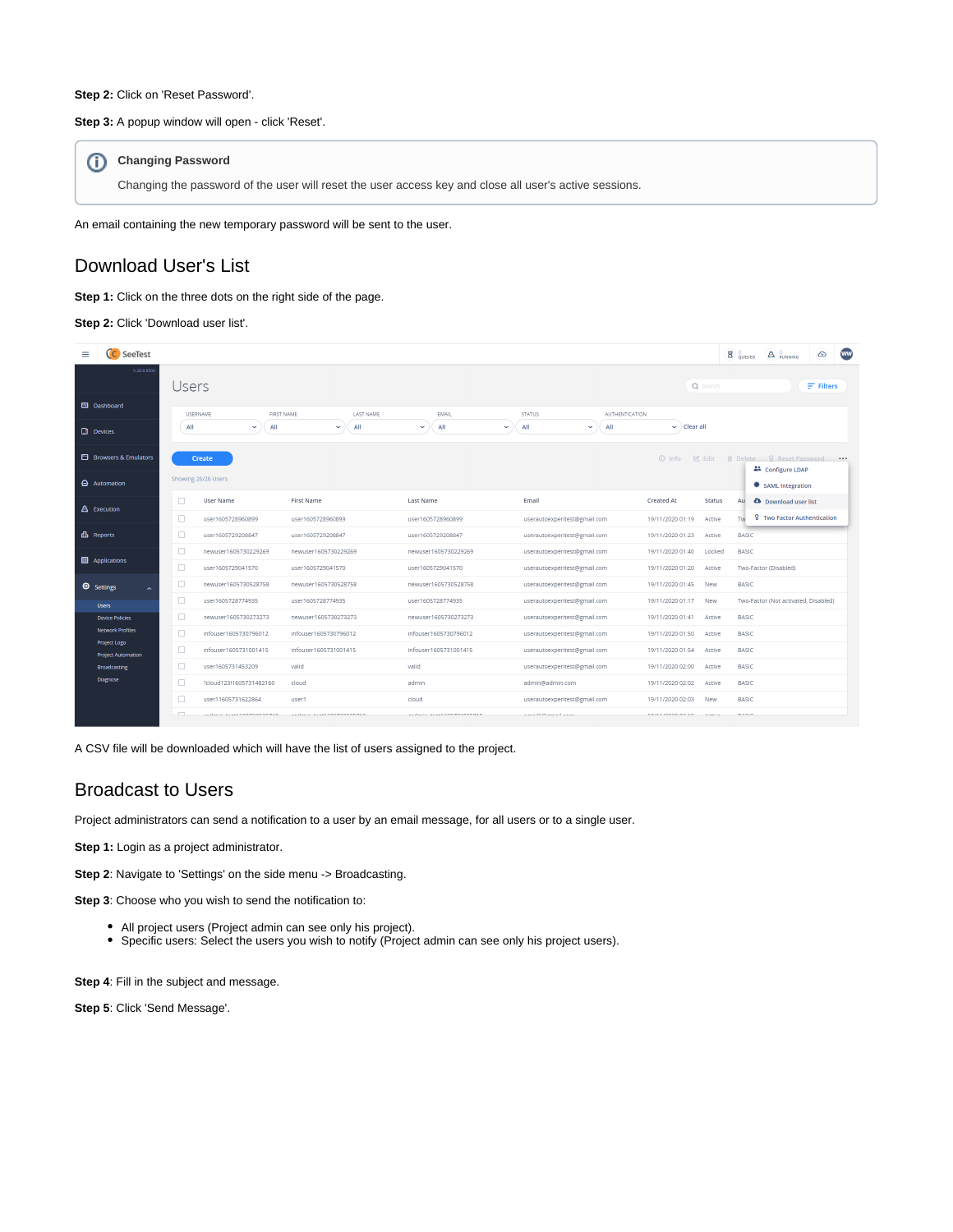#### Step 2: Click on 'Reset Password'.

#### **Step 3:** A popup window will open - click 'Reset'.

### **Changing Password**

Changing the password of the user will reset the user access key and close all user's active sessions.

An email containing the new temporary password will be sent to the user.

# <span id="page-2-0"></span>Download User's List

### **Step 1:** Click on the three dots on the right side of the page.

#### Step 2: Click 'Download user list'.

|                  | C SeeTest                                        |        |                               |                        |                            |                                        |                                                    | <b>WW</b><br>$\overline{B}$ QUEUED<br>$\circ$<br>$\bigcirc$ $\bigcirc$ $\circ$ RUNNING |
|------------------|--------------------------------------------------|--------|-------------------------------|------------------------|----------------------------|----------------------------------------|----------------------------------------------------|----------------------------------------------------------------------------------------|
|                  | V.20.9.9500                                      | Users  |                               |                        |                            |                                        | Q Search                                           | $F$ Filters                                                                            |
|                  | Ed Dashboard                                     |        | FIRST NAME<br><b>USERNAME</b> | LAST NAME              | <b>EMAIL</b>               | <b>STATUS</b><br><b>AUTHENTICATION</b> |                                                    |                                                                                        |
| <b>D</b> Devices |                                                  | All    | All<br>$\sim$                 | All<br>$\checkmark$    | All<br>v.<br>$\checkmark$  | All<br>All<br>$\checkmark$             | $\vee$ Clear all                                   |                                                                                        |
|                  | <b>El</b> Browsers & Emulators                   |        | <b>Create</b>                 |                        |                            |                                        | $①$ Info<br>$\varnothing$ Edit                     | <b>fil</b> Delete 9 Reset Password •••                                                 |
|                  | Automation                                       |        | Showing 26/26 Users           |                        |                            |                                        |                                                    | <sup>21</sup> Configure LDAP<br><b>● SAML Integration</b>                              |
|                  | A Execution                                      | п      | User Name                     | <b>First Name</b>      | Last Name                  | Email                                  | Created At<br>Status                               | <b>A</b> Download user list<br>Au                                                      |
|                  |                                                  | 0      | user1605728960899             | user1605728960899      | user1605728960899          | userautoexperitest@gmail.com           | 19/11/2020 01:19<br>Active                         | 8 Two Factor Authentication<br>Tw                                                      |
| db Reports       |                                                  | Ω      | user1605729208847             | user1605729208847      | user1605729208847          | userautoexperitest@gmail.com           | 19/11/2020 01:23<br>Active                         | BASIC                                                                                  |
|                  | Applications                                     | 0      | newuser1605730229269          | newuser1605730229269   | newuser1605730229269       | userautoexperitest@gmail.com           | 19/11/2020 01:40<br>Locked                         | BASIC                                                                                  |
|                  |                                                  | Ω      | user1605729041570             | user1605729041570      | user1605729041570          | userautoexperitest@gmail.com           | 19/11/2020 01:20<br>Active                         | Two-Factor (Disabled)                                                                  |
| Settings         |                                                  | Ω      | newuser1605730528758          | newuser1605730528758   | newuser1605730528758       | userautoexperitest@gmail.com           | 19/11/2020 01:45<br>New                            | <b>BASIC</b>                                                                           |
|                  | <b>Users</b>                                     | 0      | user1605728774935             | user1605728774935      | user1605728774935          | userautoexperitest@gmail.com           | 19/11/2020 01:17<br>New                            | Two-Factor (Not activated, Disabled)                                                   |
|                  | <b>Device Policies</b>                           | 0      | newuser1605730273273          | newuser1605730273273   | newuser1605730273273       | userautoexperitest@gmail.com           | 19/11/2020 01:41<br>Active                         | <b>BASIC</b>                                                                           |
|                  | <b>Network Profiles</b>                          | 0      | infouser1605730796012         | infouser1605730796012  | infouser1605730796012      | userautoexperitest@gmail.com           | 19/11/2020 01:50<br>Active                         | <b>BASIC</b>                                                                           |
|                  | <b>Project Logo</b><br><b>Project Automation</b> | $\Box$ | infouser1605731001415         | infouser1605731001415  | infouser1605731001415      | userautoexperitest@gmail.com           | 19/11/2020 01:54<br>Active                         | BASIC                                                                                  |
|                  | <b>Broadcasting</b>                              | 0      | user1605731453209             | valid                  | valid                      | userautoexperitest@gmail.com           | 19/11/2020 02:00<br>Active                         | BASIC                                                                                  |
|                  | Diagnose                                         | Π      | ?cloud123!1605731482160       | cloud                  | admin                      | admin@admin.com                        | 19/11/2020 02:02<br>Active                         | <b>BASIC</b>                                                                           |
|                  |                                                  | o      | user11605731622864            | user1                  | cloud                      | userautoexperitest@gmail.com           | 19/11/2020 02:03<br>New                            | <b>BASIC</b>                                                                           |
|                  |                                                  | $\Box$ | ALLALL ALASSOFTSSESERIA       | sadala acastronmonenso | Andrein Annat Commonwemen. | AMAIN/OWNAILAAM                        | $A \wedge B A$ . As $A \wedge B$ . As $A \wedge B$ | DACK <sup>1</sup>                                                                      |

A CSV file will be downloaded which will have the list of users assigned to the project.

### <span id="page-2-1"></span>Broadcast to Users

Project administrators can send a notification to a user by an email message, for all users or to a single user.

**Step 1:** Login as a project administrator.

**Step 2:** Navigate to 'Settings' on the side menu -> Broadcasting.

**Step 3**: Choose who you wish to send the notification to:

- All project users (Project admin can see only his project).
- Specific users: Select the users you wish to notify (Project admin can see only his project users).

**Step 4: Fill in the subject and message.** 

**Step 5**: Click 'Send Message'.